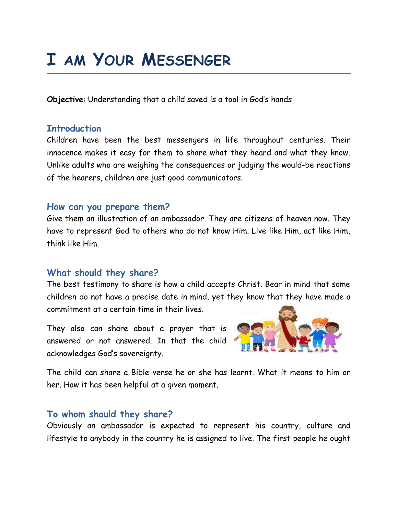# **I AM YOUR MESSENGER**

**Objective**: Understanding that a child saved is a tool in God's hands

## **Introduction**

Children have been the best messengers in life throughout centuries. Their innocence makes it easy for them to share what they heard and what they know. Unlike adults who are weighing the consequences or judging the would-be reactions of the hearers, children are just good communicators.

## **How can you prepare them?**

Give them an illustration of an ambassador. They are citizens of heaven now. They have to represent God to others who do not know Him. Live like Him, act like Him, think like Him.

## **What should they share?**

The best testimony to share is how a child accepts Christ. Bear in mind that some children do not have a precise date in mind, yet they know that they have made a commitment at a certain time in their lives.

They also can share about a prayer that is answered or not answered. In that the child acknowledges God's sovereignty.



The child can share a Bible verse he or she has learnt. What it means to him or her. How it has been helpful at a given moment.

## **To whom should they share?**

Obviously an ambassador is expected to represent his country, culture and lifestyle to anybody in the country he is assigned to live. The first people he ought